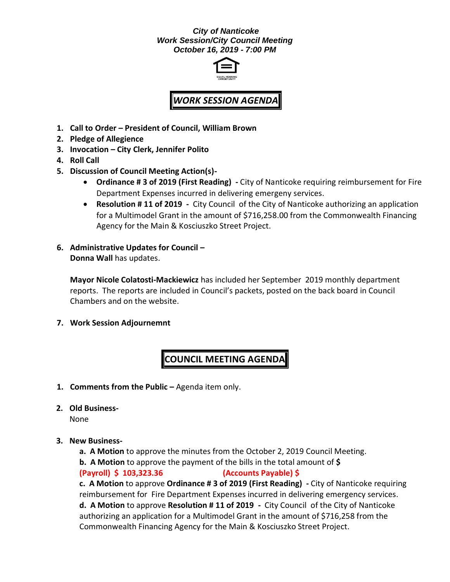# *City of Nanticoke Work Session/City Council Meeting October 16, 2019 - 7:00 PM*



# *WORK SESSION AGENDA*

- **1. Call to Order – President of Council, William Brown**
- **2. Pledge of Allegience**
- **3. Invocation – City Clerk, Jennifer Polito**
- **4. Roll Call**
- **5. Discussion of Council Meeting Action(s)-**
	- **Ordinance # 3 of 2019 (First Reading) -** City of Nanticoke requiring reimbursement for Fire Department Expenses incurred in delivering emergeny services.
	- **Resolution # 11 of 2019 -** City Council of the City of Nanticoke authorizing an application for a Multimodel Grant in the amount of \$716,258.00 from the Commonwealth Financing Agency for the Main & Kosciuszko Street Project.
- **6. Administrative Updates for Council – Donna Wall** has updates.

**Mayor Nicole Colatosti-Mackiewicz** has included her September 2019 monthly department reports. The reports are included in Council's packets, posted on the back board in Council Chambers and on the website.

**7. Work Session Adjournemnt**

# **COUNCIL MEETING AGENDA**

- **1. Comments from the Public –** Agenda item only.
- **2. Old Business-**

None

#### **3. New Business-**

**a. A Motion** to approve the minutes from the October 2, 2019 Council Meeting.

**b. A Motion** to approve the payment of the bills in the total amount of **\$**

**(Payroll) \$ 103,323.36 (Accounts Payable) \$**

**c. A Motion** to approve **Ordinance # 3 of 2019 (First Reading) -** City of Nanticoke requiring reimbursement for Fire Department Expenses incurred in delivering emergency services. **d. A Motion** to approve **Resolution # 11 of 2019 -** City Council of the City of Nanticoke authorizing an application for a Multimodel Grant in the amount of \$716,258 from the Commonwealth Financing Agency for the Main & Kosciuszko Street Project.